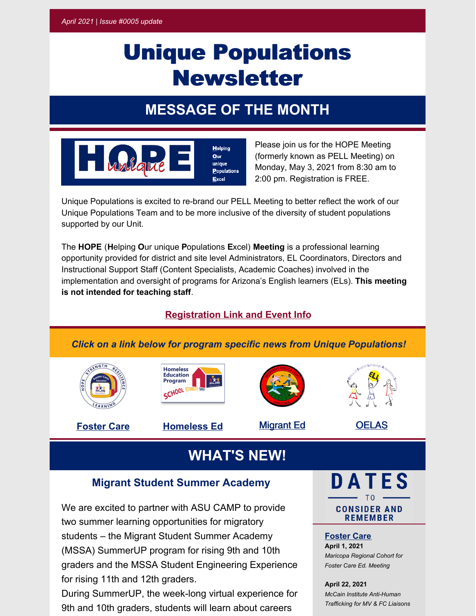# Unique Populations Newsletter

# **MESSAGE OF THE MONTH**



Please join us for the HOPE Meeting (formerly known as PELL Meeting) on Monday, May 3, 2021 from 8:30 am to 2:00 pm. Registration is FREE.

Unique Populations is excited to re-brand our PELL Meeting to better reflect the work of our Unique Populations Team and to be more inclusive of the diversity of student populations supported by our Unit.

The **HOPE** (**H**elping **O**ur unique **P**opulations **E**xcel) **Meeting** is a professional learning opportunity provided for district and site level Administrators, EL Coordinators, Directors and Instructional Support Staff (Content Specialists, Academic Coaches) involved in the implementation and oversight of programs for Arizona's English learners (ELs). **This meeting is not intended for teaching staff**.

## **[Registration](https://ems.azed.gov/Home/Calendar?sd=8535) Link and Event Info**



# **Migrant Student Summer Academy**

We are excited to partner with ASU CAMP to provide two summer learning opportunities for migratory students – the Migrant Student Summer Academy (MSSA) SummerUP program for rising 9th and 10th graders and the MSSA Student Engineering Experience for rising 11th and 12th graders.

During SummerUP, the week-long virtual experience for 9th and 10th graders, students will learn about careers

DATES **CONSIDER AND REMEMBER** 

#### **Foster Care**

**April 1, 2021** *Maricopa Regional Cohort for Foster Care Ed. Meeting*

#### **April 22, 2021**

*McCain Institute Anti-Human Trafficking for MV & FC Liaisons*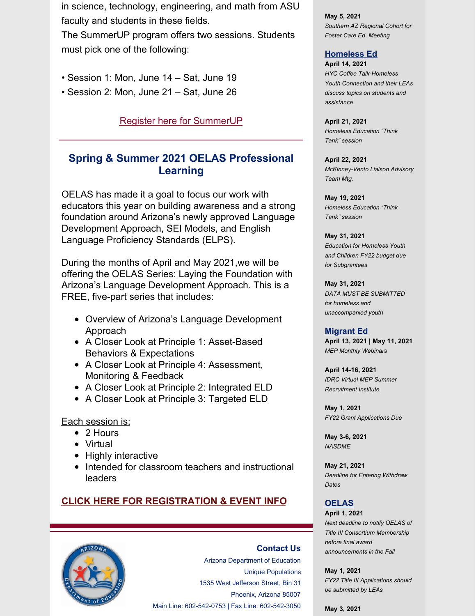in science, technology, engineering, and math from ASU faculty and students in these fields.

The SummerUP program offers two sessions. Students must pick one of the following:

- Session 1: Mon, June 14 Sat, June 19
- Session 2: Mon, June 21 Sat, June 26

Register here for [SummerUP](https://na.eventscloud.com/mssa21)

## **Spring & Summer 2021 OELAS Professional Learning**

OELAS has made it a goal to focus our work with educators this year on building awareness and a strong foundation around Arizona's newly approved Language Development Approach, SEI Models, and English Language Proficiency Standards (ELPS).

During the months of April and May 2021,we will be offering the OELAS Series: Laying the Foundation with Arizona's Language Development Approach. This is a FREE, five-part series that includes:

- Overview of Arizona's Language Development Approach
- A Closer Look at Principle 1: Asset-Based Behaviors & Expectations
- A Closer Look at Principle 4: Assessment, Monitoring & Feedback
- A Closer Look at Principle 2: Integrated ELD
- A Closer Look at Principle 3: Targeted ELD

Each session is:

- 2 Hours
- Virtual
- Highly interactive
- Intended for classroom teachers and instructional leaders

### **CLICK HERE FOR [REGISTRATION](https://ems.azed.gov/Home/Calendar?sd=8541) & EVENT INFO**



Arizona Department of Education Unique Populations 1535 West Jefferson Street, Bin 31 Phoenix, Arizona 85007 Main Line: 602-542-0753 | Fax Line: 602-542-3050

**[Contact](mailto:OELAS@azed.gov) Us**

**May 5, 2021** *Southern AZ Regional Cohort for Foster Care Ed. Meeting*

#### **Homeless Ed**

**April 14, 2021** *HYC Coffee Talk-Homeless Youth Connection and their LEAs discuss topics on students and assistance*

**April 21, 2021** *Homeless Education "Think Tank" session*

**April 22, 2021** *McKinney-Vento Liaison Advisory Team Mtg.*

**May 19, 2021** *Homeless Education "Think Tank" session*

**May 31, 2021** *Education for Homeless Youth and Children FY22 budget due for Subgrantees*

**May 31, 2021** *DATA MUST BE SUBMITTED for homeless and unaccompanied youth*

#### **Migrant Ed**

**April 13, 2021 | May 11, 2021** *MEP Monthly Webinars*

**April 14-16, 2021** *IDRC Virtual MEP Summer Recruitment Institute*

**May 1, 2021** *FY22 Grant Applications Due*

**May 3-6, 2021** *NASDME*

**May 21, 2021** *Deadline for Entering Withdraw Dates*

#### **OELAS**

**April 1, 2021** *Next deadline to notify OELAS of Title III Consortium Membership before final award announcements in the Fall*

#### **May 1, 2021**

*FY22 Title III Applications should be submitted by LEAs*

**May 3, 2021**